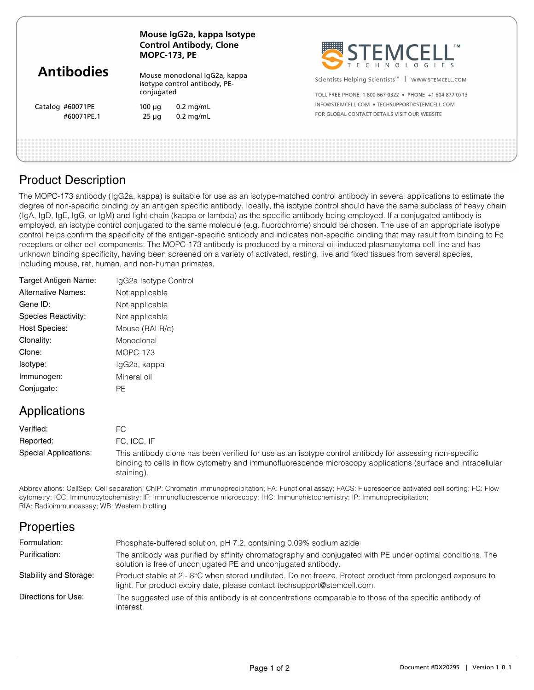| <b>Antibodies</b>              | Mouse IgG2a, kappa Isotype<br><b>Control Antibody, Clone</b><br><b>MOPC-173, PE</b> |                                                       | <b>STEMCELL</b><br>TECHNOLOGIES                                  |  |
|--------------------------------|-------------------------------------------------------------------------------------|-------------------------------------------------------|------------------------------------------------------------------|--|
|                                | Mouse monoclonal IgG2a, kappa<br>isotype control antibody, PE-                      |                                                       | Scientists Helping Scientists <sup>™</sup>  <br>WWW.STEMCELL.COM |  |
|                                | conjugated                                                                          | TOLL FREE PHONE 1800 667 0322 . PHONE +1 604 877 0713 |                                                                  |  |
| Catalog #60071PE<br>#60071PE.1 |                                                                                     | $0.2$ mg/mL<br>100 µg<br>$0.2$ mg/mL<br>$25 \mu q$    | INFO@STEMCELL.COM . TECHSUPPORT@STEMCELL.COM                     |  |
|                                |                                                                                     |                                                       | FOR GLOBAL CONTACT DETAILS VISIT OUR WEBSITE                     |  |
|                                |                                                                                     |                                                       |                                                                  |  |
|                                |                                                                                     |                                                       |                                                                  |  |

### Product Description

The MOPC-173 antibody (IgG2a, kappa) is suitable for use as an isotype-matched control antibody in several applications to estimate the degree of non-specific binding by an antigen specific antibody. Ideally, the isotype control should have the same subclass of heavy chain (IgA, IgD, IgE, IgG, or IgM) and light chain (kappa or lambda) as the specific antibody being employed. If a conjugated antibody is employed, an isotype control conjugated to the same molecule (e.g. fluorochrome) should be chosen. The use of an appropriate isotype control helps confirm the specificity of the antigen-specific antibody and indicates non-specific binding that may result from binding to Fc receptors or other cell components. The MOPC-173 antibody is produced by a mineral oil-induced plasmacytoma cell line and has unknown binding specificity, having been screened on a variety of activated, resting, live and fixed tissues from several species, including mouse, rat, human, and non-human primates.

| Target Antigen Name: | IgG2a Isotype Control |
|----------------------|-----------------------|
| Alternative Names:   | Not applicable        |
| Gene ID:             | Not applicable        |
| Species Reactivity:  | Not applicable        |
| <b>Host Species:</b> | Mouse (BALB/c)        |
| Clonality:           | Monoclonal            |
| Clone:               | $MOPC-173$            |
| Isotype:             | IgG2a, kappa          |
| Immunogen:           | Mineral oil           |
| Conjugate:           | РF                    |
|                      |                       |

# Applications

| Verified:             | FC.                                                                                                                                                                                                                                   |
|-----------------------|---------------------------------------------------------------------------------------------------------------------------------------------------------------------------------------------------------------------------------------|
| Reported:             | FC. ICC. IF                                                                                                                                                                                                                           |
| Special Applications: | This antibody clone has been verified for use as an isotype control antibody for assessing non-specific<br>binding to cells in flow cytometry and immunofluorescence microscopy applications (surface and intracellular<br>staining). |

Abbreviations: CellSep: Cell separation; ChIP: Chromatin immunoprecipitation; FA: Functional assay; FACS: Fluorescence activated cell sorting; FC: Flow cytometry; ICC: Immunocytochemistry; IF: Immunofluorescence microscopy; IHC: Immunohistochemistry; IP: Immunoprecipitation; RIA: Radioimmunoassay; WB: Western blotting

| Properties   |  |
|--------------|--|
| Formulation: |  |

| Formulation:           | Phosphate-buffered solution, pH 7.2, containing 0.09% sodium azide                                                                                                                     |
|------------------------|----------------------------------------------------------------------------------------------------------------------------------------------------------------------------------------|
| Purification:          | The antibody was purified by affinity chromatography and conjugated with PE under optimal conditions. The<br>solution is free of unconjugated PE and unconjugated antibody.            |
| Stability and Storage: | Product stable at 2 - 8°C when stored undiluted. Do not freeze. Protect product from prolonged exposure to<br>light. For product expiry date, please contact techsupport@stemcell.com. |
| Directions for Use:    | The suggested use of this antibody is at concentrations comparable to those of the specific antibody of<br>interest.                                                                   |